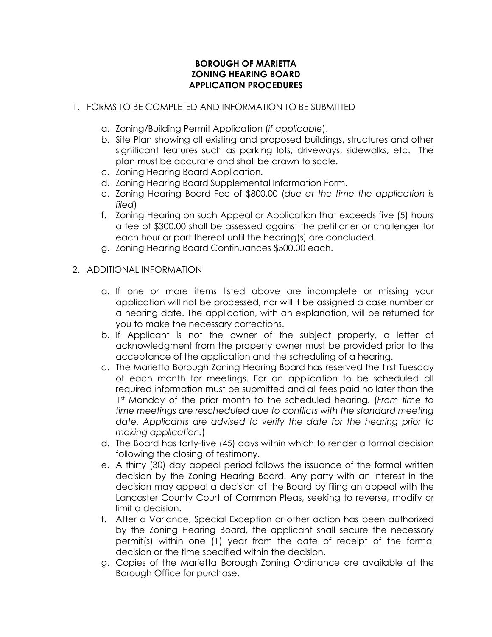## **BOROUGH OF MARIETTA ZONING HEARING BOARD APPLICATION PROCEDURES**

## 1. FORMS TO BE COMPLETED AND INFORMATION TO BE SUBMITTED

- a. Zoning/Building Permit Application (*if applicable*).
- b. Site Plan showing all existing and proposed buildings, structures and other significant features such as parking lots, driveways, sidewalks, etc. The plan must be accurate and shall be drawn to scale.
- c. Zoning Hearing Board Application.
- d. Zoning Hearing Board Supplemental Information Form.
- e. Zoning Hearing Board Fee of \$800.00 (*due at the time the application is filed*)
- f. Zoning Hearing on such Appeal or Application that exceeds five (5) hours a fee of \$300.00 shall be assessed against the petitioner or challenger for each hour or part thereof until the hearing(s) are concluded.
- g. Zoning Hearing Board Continuances \$500.00 each.
- 2. ADDITIONAL INFORMATION
	- a. If one or more items listed above are incomplete or missing your application will not be processed, nor will it be assigned a case number or a hearing date. The application, with an explanation, will be returned for you to make the necessary corrections.
	- b. If Applicant is not the owner of the subject property, a letter of acknowledgment from the property owner must be provided prior to the acceptance of the application and the scheduling of a hearing.
	- c. The Marietta Borough Zoning Hearing Board has reserved the first Tuesday of each month for meetings. For an application to be scheduled all required information must be submitted and all fees paid no later than the 1st Monday of the prior month to the scheduled hearing. (*From time to time meetings are rescheduled due to conflicts with the standard meeting date. Applicants are advised to verify the date for the hearing prior to making application.*)
	- d. The Board has forty-five (45) days within which to render a formal decision following the closing of testimony.
	- e. A thirty (30) day appeal period follows the issuance of the formal written decision by the Zoning Hearing Board. Any party with an interest in the decision may appeal a decision of the Board by filing an appeal with the Lancaster County Court of Common Pleas, seeking to reverse, modify or limit a decision.
	- f. After a Variance, Special Exception or other action has been authorized by the Zoning Hearing Board, the applicant shall secure the necessary permit(s) within one (1) year from the date of receipt of the formal decision or the time specified within the decision.
	- g. Copies of the Marietta Borough Zoning Ordinance are available at the Borough Office for purchase.